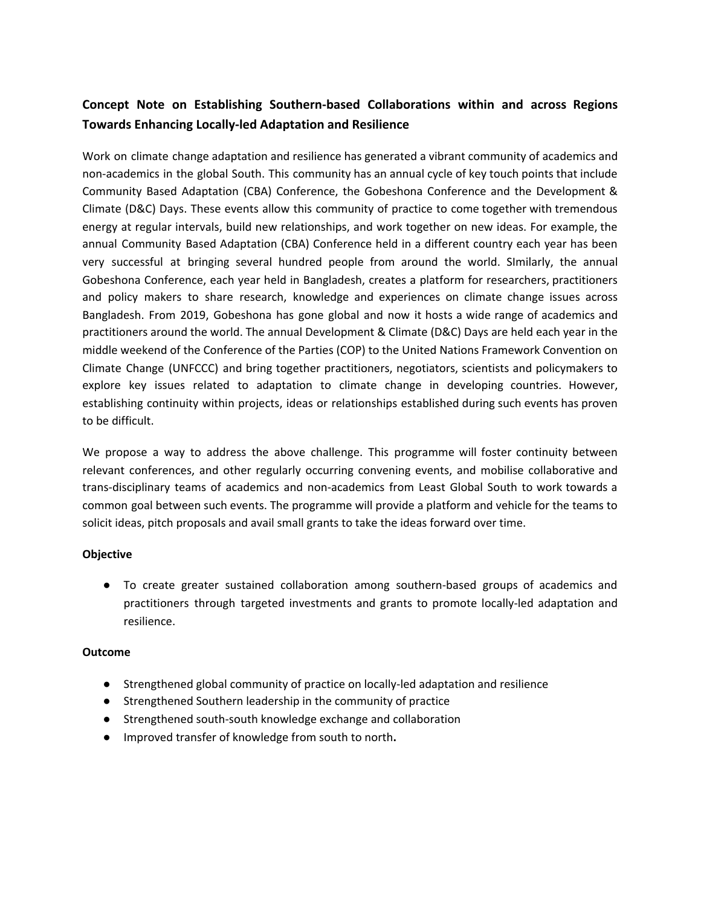# **Concept Note on Establishing Southern-based Collaborations within and across Regions Towards Enhancing Locally-led Adaptation and Resilience**

Work on climate change adaptation and resilience has generated a vibrant community of academics and non-academics in the global South. This community has an annual cycle of key touch points that include Community Based Adaptation (CBA) Conference, the Gobeshona Conference and the Development & Climate (D&C) Days. These events allow this community of practice to come together with tremendous energy at regular intervals, build new relationships, and work together on new ideas. For example, the annual Community Based Adaptation (CBA) Conference held in a different country each year has been very successful at bringing several hundred people from around the world. SImilarly, the annual Gobeshona Conference, each year held in Bangladesh, creates a platform for researchers, practitioners and policy makers to share research, knowledge and experiences on climate change issues across Bangladesh. From 2019, Gobeshona has gone global and now it hosts a wide range of academics and practitioners around the world. The annual Development & Climate (D&C) Days are held each year in the middle weekend of the Conference of the Parties (COP) to the United Nations Framework Convention on Climate Change (UNFCCC) and bring together practitioners, negotiators, scientists and policymakers to explore key issues related to adaptation to climate change in developing countries. However, establishing continuity within projects, ideas or relationships established during such events has proven to be difficult.

We propose a way to address the above challenge. This programme will foster continuity between relevant conferences, and other regularly occurring convening events, and mobilise collaborative and trans-disciplinary teams of academics and non-academics from Least Global South to work towards a common goal between such events. The programme will provide a platform and vehicle for the teams to solicit ideas, pitch proposals and avail small grants to take the ideas forward over time.

### **Objective**

● To create greater sustained collaboration among southern-based groups of academics and practitioners through targeted investments and grants to promote locally-led adaptation and resilience.

### **Outcome**

- Strengthened global community of practice on locally-led adaptation and resilience
- Strengthened Southern leadership in the community of practice
- Strengthened south-south knowledge exchange and collaboration
- Improved transfer of knowledge from south to north**.**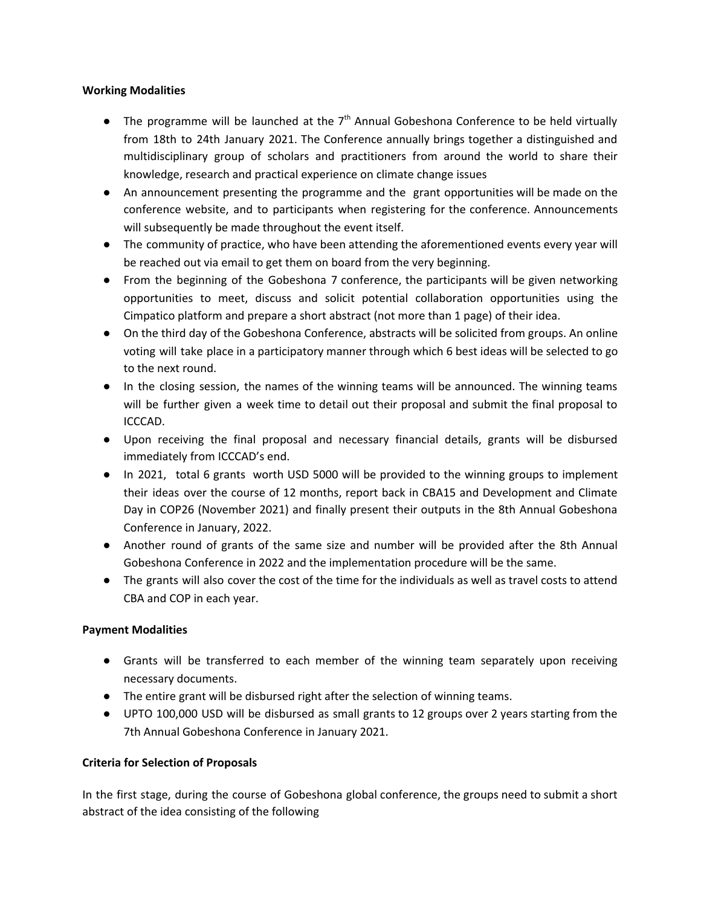### **Working Modalities**

- $\bullet$  The programme will be launched at the  $7<sup>th</sup>$  Annual Gobeshona Conference to be held virtually from 18th to 24th January 2021. The Conference annually brings together a distinguished and multidisciplinary group of scholars and practitioners from around the world to share their knowledge, research and practical experience on climate change issues
- An announcement presenting the programme and the grant opportunities will be made on the conference website, and to participants when registering for the conference. Announcements will subsequently be made throughout the event itself.
- The community of practice, who have been attending the aforementioned events every year will be reached out via email to get them on board from the very beginning.
- From the beginning of the Gobeshona 7 conference, the participants will be given networking opportunities to meet, discuss and solicit potential collaboration opportunities using the Cimpatico platform and prepare a short abstract (not more than 1 page) of their idea.
- On the third day of the Gobeshona Conference, abstracts will be solicited from groups. An online voting will take place in a participatory manner through which 6 best ideas will be selected to go to the next round.
- In the closing session, the names of the winning teams will be announced. The winning teams will be further given a week time to detail out their proposal and submit the final proposal to ICCCAD.
- Upon receiving the final proposal and necessary financial details, grants will be disbursed immediately from ICCCAD's end.
- In 2021, total 6 grants worth USD 5000 will be provided to the winning groups to implement their ideas over the course of 12 months, report back in CBA15 and Development and Climate Day in COP26 (November 2021) and finally present their outputs in the 8th Annual Gobeshona Conference in January, 2022.
- Another round of grants of the same size and number will be provided after the 8th Annual Gobeshona Conference in 2022 and the implementation procedure will be the same.
- The grants will also cover the cost of the time for the individuals as well as travel costs to attend CBA and COP in each year.

### **Payment Modalities**

- Grants will be transferred to each member of the winning team separately upon receiving necessary documents.
- The entire grant will be disbursed right after the selection of winning teams.
- UPTO 100,000 USD will be disbursed as small grants to 12 groups over 2 years starting from the 7th Annual Gobeshona Conference in January 2021.

### **Criteria for Selection of Proposals**

In the first stage, during the course of Gobeshona global conference, the groups need to submit a short abstract of the idea consisting of the following